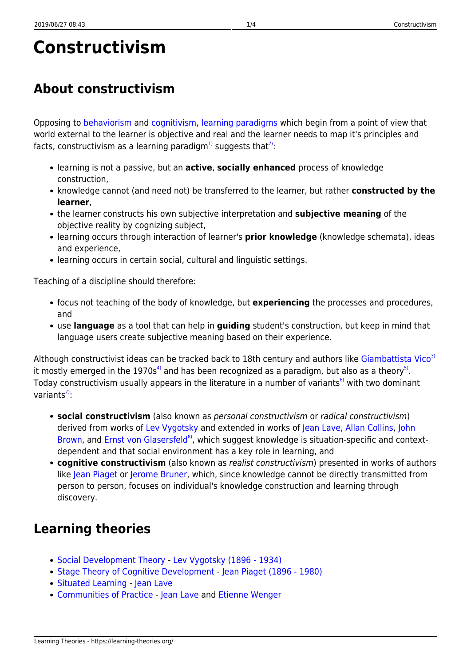# **Constructivism**

## **About constructivism**

Opposing to [behaviorism](https://learning-theories.org/doku.php?id=learning_paradigms:behaviorism) and [cognitivism](https://learning-theories.org/doku.php?id=learning_paradigms:cognitivism), [learning paradigms](https://learning-theories.org/doku.php?id=learning_paradigms) which begin from a point of view that world external to the learner is objective and real and the learner needs to map it's principles and facts, constructivism as a learning paradigm<sup>1</sup> suggests that<sup>[2\)](#page--1-0)</sup>:

- learning is not a passive, but an **active**, **socially enhanced** process of knowledge construction,
- knowledge cannot (and need not) be transferred to the learner, but rather **constructed by the learner**,
- the learner constructs his own subjective interpretation and **subjective meaning** of the objective reality by cognizing subject,
- learning occurs through interaction of learner's **prior knowledge** (knowledge schemata), ideas and experience,
- learning occurs in certain social, cultural and linguistic settings.

Teaching of a discipline should therefore:

- focus not teaching of the body of knowledge, but **experiencing** the processes and procedures, and
- use **language** as a tool that can help in **guiding** student's construction, but keep in mind that language users create subjective meaning based on their experience.

Although constructivist ideas can be tracked back to 18th century and authors like [Giambattista Vico](http://en.wikipedia.org/wiki/Giambattista_Vico)<sup>[3\)](#page--1-0)</sup> it mostly emerged in the 1970s<sup>[4\)](#page--1-0)</sup> and has been recognized as a paradigm, but also as a theory<sup>[5\)](#page--1-0)</sup>. Today constructivism usually appears in the literature in a number of variants<sup>[6\)](#page--1-0)</sup> with two dominant variants $\frac{7}{2}$ :

- **social constructivism** (also known as personal constructivism or radical constructivism) derived from works of [Lev Vygotsky](http://www.marxists.org/archive/vygotsky/) and extended in works of [Jean Lave,](http://www.ischool.berkeley.edu/people/faculty/jeanlave) [Allan Collins](http://www.sesp.northwestern.edu/profile/?p=52&/AllanCollins/), [John](http://www.johnseelybrown.com/) [Brown,](http://www.johnseelybrown.com/) and [Ernst von Glasersfeld](http://en.wikipedia.org/wiki/Ernst_von_Glasersfeld)<sup>8</sup>, which suggest knowledge is situation-specific and contextdependent and that social environment has a key role in learning, and
- **cognitive constructivism** (also known as realist constructivism) presented in works of authors like [Jean Piaget](http://www.piaget.org/aboutPiaget.html) or [Jerome Bruner](http://www.psych.nyu.edu/bruner/), which, since knowledge cannot be directly transmitted from person to person, focuses on individual's knowledge construction and learning through discovery.

## **Learning theories**

- [Social Development Theory](https://learning-theories.org/doku.php?id=learning_theories:social_development_theory) - [Lev Vygotsky \(1896 1934\)](http://www.marxists.org/archive/vygotsky/)
- [Stage Theory of Cognitive Development](https://learning-theories.org/doku.php?id=learning_theories:stage_theory_of_cognitive_development) [Jean Piaget \(1896 1980\)](http://www.piaget.org/aboutPiaget.html)
- [Situated Learning](https://learning-theories.org/doku.php?id=learning_theories:situated_learning) - [Jean Lave](http://www.ischool.berkeley.edu/people/faculty/jeanlave)
- [Communities of Practice](https://learning-theories.org/doku.php?id=learning_theories:communities_of_practice) - [Jean Lave](http://www.ischool.berkeley.edu/people/faculty/jeanlave) and [Etienne Wenger](http://www.ewenger.com/theory/)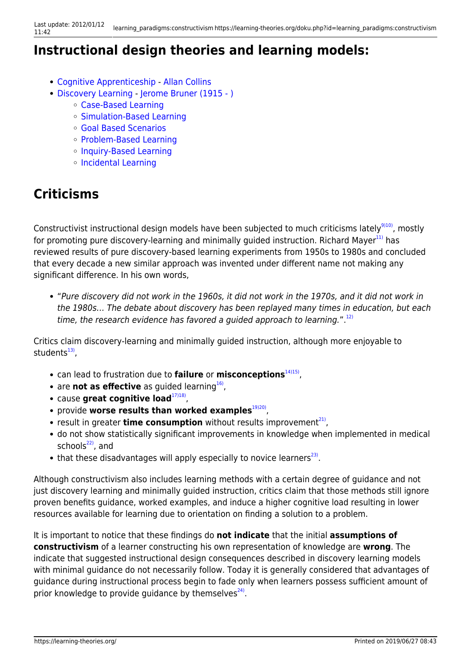#### **Instructional design theories and learning models:**

- [Cognitive Apprenticeship](https://learning-theories.org/doku.php?id=instructional_design:cognitive_apprenticeship)  [Allan Collins](http://www.sesp.northwestern.edu/profile/?p=52&/AllanCollins/)
- [Discovery Learning](https://learning-theories.org/doku.php?id=instructional_design:discovery_learning)  [Jerome Bruner \(1915 \)](http://www.psych.nyu.edu/bruner/)
	- [Case-Based Learning](https://learning-theories.org/doku.php?id=instructional_design:case-based_learning)
	- [Simulation-Based Learning](https://learning-theories.org/doku.php?id=instructional_design:simulation-based_learning)
	- [Goal Based Scenarios](https://learning-theories.org/doku.php?id=instructional_design:goal_based_scenarios)
	- [Problem-Based Learning](https://learning-theories.org/doku.php?id=instructional_design:problem-based_learning)
	- o [Inquiry-Based Learning](https://learning-theories.org/doku.php?id=instructional_design:inquiry-based_learning)
	- [Incidental Learning](https://learning-theories.org/doku.php?id=instructional_design:incidental_learning)

### **Criticisms**

Constructivist instructional design models have been subjected to much criticisms lately<sup>9110</sup>, mostly for promoting pure discovery-learning and minimally guided instruction. Richard Mayer $^{11}$  has reviewed results of pure discovery-based learning experiments from 1950s to 1980s and concluded that every decade a new similar approach was invented under different name not making any significant difference. In his own words,

"Pure discovery did not work in the 1960s, it did not work in the 1970s, and it did not work in the 1980s… The debate about discovery has been replayed many times in education, but each time, the research evidence has favored a quided approach to learning.".<sup>[12\)](#page--1-0)</sup>

Critics claim discovery-learning and minimally guided instruction, although more enjoyable to students<sup>[13\)](#page--1-0)</sup>,

- can lead to frustration due to **failure** or **misconceptions**<sup>[14\)15\)](#page--1-0)</sup>,
- are **not as effective** as guided learning<sup>16</sup>,
- cause **great cognitive load**<sup>[17\)18\)](#page--1-0)</sup>,
- provide worse results than worked examples<sup>[19\)20\)](#page--1-0)</sup>,
- result in greater **time consumption** without results improvement<sup>21</sup>,
- do not show statistically significant improvements in knowledge when implemented in medical schools $22$ , and
- that these disadvantages will apply especially to novice learners $^{23)}$  $^{23)}$  $^{23)}$ .

Although constructivism also includes learning methods with a certain degree of guidance and not just discovery learning and minimally guided instruction, critics claim that those methods still ignore proven benefits guidance, worked examples, and induce a higher cognitive load resulting in lower resources available for learning due to orientation on finding a solution to a problem.

It is important to notice that these findings do **not indicate** that the initial **assumptions of constructivism** of a learner constructing his own representation of knowledge are **wrong**. The indicate that suggested instructional design consequences described in discovery learning models with minimal guidance do not necessarily follow. Today it is generally considered that advantages of guidance during instructional process begin to fade only when learners possess sufficient amount of prior knowledge to provide guidance by themselves<sup>[24\)](#page--1-0)</sup>.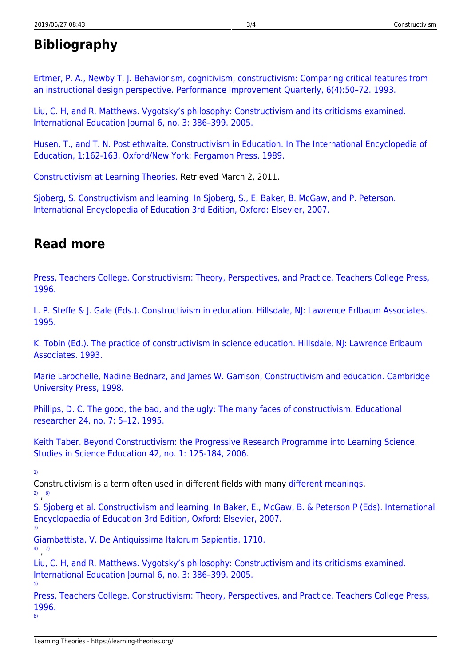#### **Bibliography**

[Ertmer, P. A., Newby T. J. Behaviorism, cognitivism, constructivism: Comparing critical features from](http://uow.ico5.janison.com/ed/subjects/edgi911w/readings/ertmerp1.pdf) [an instructional design perspective. Performance Improvement Quarterly, 6\(4\):50–72. 1993.](http://uow.ico5.janison.com/ed/subjects/edgi911w/readings/ertmerp1.pdf)

[Liu, C. H, and R. Matthews. Vygotsky's philosophy: Constructivism and its criticisms examined.](http://ehlt.flinders.edu.au/education/iej/articles/v6n3/liu/paper.pdf) [International Education Journal 6, no. 3: 386–399. 2005.](http://ehlt.flinders.edu.au/education/iej/articles/v6n3/liu/paper.pdf)

[Husen, T., and T. N. Postlethwaite. Constructivism in Education. In The International Encyclopedia of](http://www.univie.ac.at/constructivism/EvG/papers/114.pdf) [Education, 1:162-163. Oxford/New York: Pergamon Press, 1989.](http://www.univie.ac.at/constructivism/EvG/papers/114.pdf)

[Constructivism at Learning Theories.](http://www.learning-theories.com/constructivism.html) Retrieved March 2, 2011.

[Sjoberg, S. Constructivism and learning. In Sjoberg, S., E. Baker, B. McGaw, and P. Peterson.](http://folk.uio.no/sveinsj/Constructivism_and_learning_Sjoberg.pdf) [International Encyclopedia of Education 3rd Edition, Oxford: Elsevier, 2007.](http://folk.uio.no/sveinsj/Constructivism_and_learning_Sjoberg.pdf)

#### **Read more**

[Press, Teachers College. Constructivism: Theory, Perspectives, and Practice. Teachers College Press,](http://www.amazon.com/Constructivism-Perspectives-Teachers-College-Press/dp/0807734888#reader_0807734888) [1996.](http://www.amazon.com/Constructivism-Perspectives-Teachers-College-Press/dp/0807734888#reader_0807734888)

[L. P. Steffe & J. Gale \(Eds.\). Constructivism in education. Hillsdale, NJ: Lawrence Erlbaum Associates.](http://books.google.hr/books?id=Iuow8KqWE7wC&printsec=frontcover&source=gbs_ge_summary_r&cad=0#v=onepage&q&f=false) [1995.](http://books.google.hr/books?id=Iuow8KqWE7wC&printsec=frontcover&source=gbs_ge_summary_r&cad=0#v=onepage&q&f=false)

[K. Tobin \(Ed.\). The practice of constructivism in science education. Hillsdale, NJ: Lawrence Erlbaum](http://books.google.hr/books?id=G3vS8M4w5YgC&printsec=frontcover&source=gbs_ge_summary_r&cad=0#v=onepage&q&f=false) [Associates. 1993.](http://books.google.hr/books?id=G3vS8M4w5YgC&printsec=frontcover&source=gbs_ge_summary_r&cad=0#v=onepage&q&f=false)

[Marie Larochelle, Nadine Bednarz, and James W. Garrison, Constructivism and education. Cambridge](http://books.google.hr/books?id=6NCq3zyWkNsC&printsec=frontcover&dq=Constructivism+and+education.&hl=hr&ei=go0NTsDBIceDOr-DnJwL&sa=X&oi=book_result&ct=result&resnum=1&ved=0CCgQ6AEwAA#v=onepage&q&f=false) [University Press, 1998.](http://books.google.hr/books?id=6NCq3zyWkNsC&printsec=frontcover&dq=Constructivism+and+education.&hl=hr&ei=go0NTsDBIceDOr-DnJwL&sa=X&oi=book_result&ct=result&resnum=1&ved=0CCgQ6AEwAA#v=onepage&q&f=false)

[Phillips, D. C. The good, the bad, and the ugly: The many faces of constructivism. Educational](http://www.zipaquira-cundinamarca.gov.co/apc-aa-files/33383564656335333966393533336464/Constructivism_1.pdf) [researcher 24, no. 7: 5–12. 1995.](http://www.zipaquira-cundinamarca.gov.co/apc-aa-files/33383564656335333966393533336464/Constructivism_1.pdf)

[Keith Taber. Beyond Constructivism: the Progressive Research Programme into Learning Science.](http://www.tandfonline.com/doi/abs/10.1080/03057260608560222) [Studies in Science Education 42, no. 1: 125-184, 2006.](http://www.tandfonline.com/doi/abs/10.1080/03057260608560222)

[1\)](#page--1-0)

[3\)](#page--1-0)

Constructivism is a term often used in different fields with many [different meanings.](http://en.wikipedia.org/wiki/Constructivism)

[2\)](#page--1-0) , [6\)](#page--1-0) [S. Sjoberg et al. Constructivism and learning. In Baker, E., McGaw, B. & Peterson P \(Eds\). International](http://folk.uio.no/sveinsj/Constructivism_and_learning_Sjoberg.pdf) [Encyclopaedia of Education 3rd Edition, Oxford: Elsevier, 2007.](http://folk.uio.no/sveinsj/Constructivism_and_learning_Sjoberg.pdf)

[Giambattista, V. De Antiquissima Italorum Sapientia. 1710.](http://findarticles.com/p/articles/mi_7026/is_2_96/ai_n28125759/) [4\)](#page--1-0) , [7\)](#page--1-0)

[Liu, C. H, and R. Matthews. Vygotsky's philosophy: Constructivism and its criticisms examined.](http://ehlt.flinders.edu.au/education/iej/articles/v6n3/liu/paper.pdf) [International Education Journal 6, no. 3: 386–399. 2005.](http://ehlt.flinders.edu.au/education/iej/articles/v6n3/liu/paper.pdf)

[Press, Teachers College. Constructivism: Theory, Perspectives, and Practice. Teachers College Press,](http://www.amazon.com/Constructivism-Perspectives-Teachers-College-Press/dp/0807734888#reader_0807734888) [1996.](http://www.amazon.com/Constructivism-Perspectives-Teachers-College-Press/dp/0807734888#reader_0807734888)

[8\)](#page--1-0)

[5\)](#page--1-0)